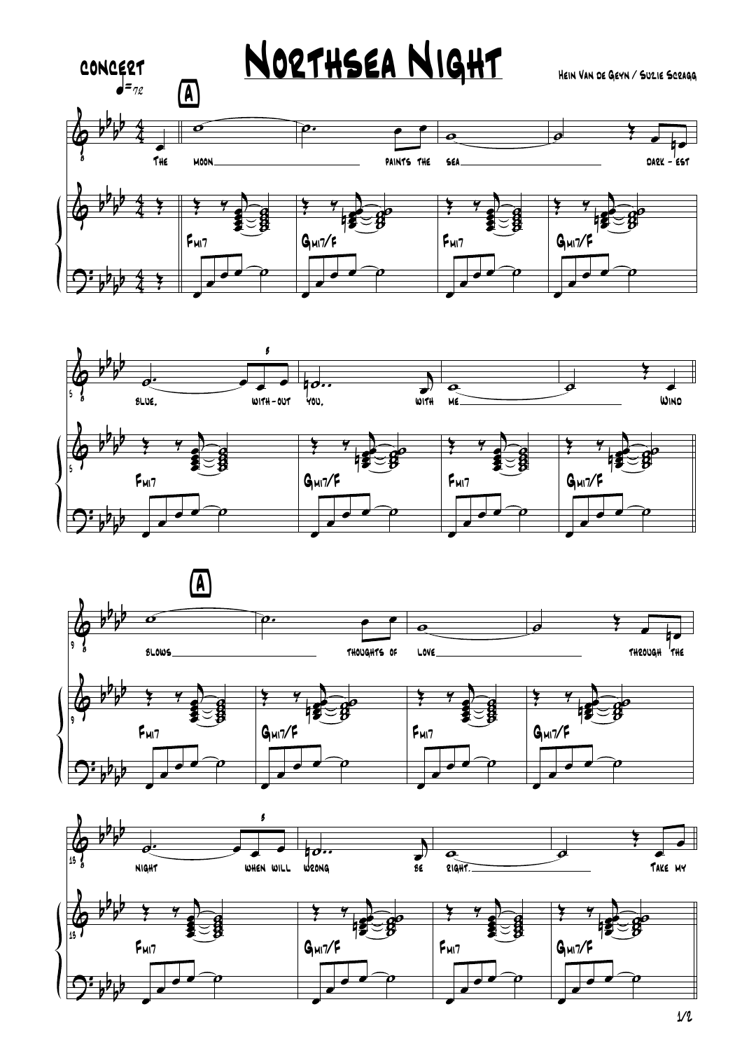